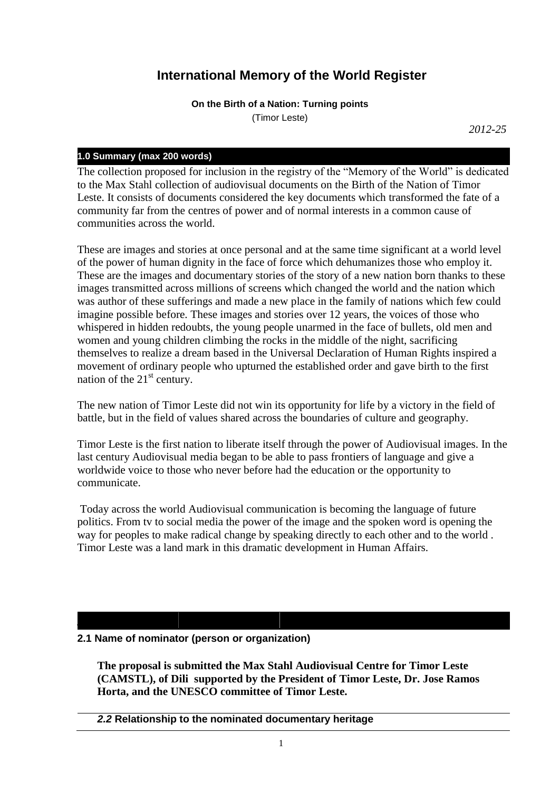# **International Memory of the World Register**

**On the Birth of a Nation: Turning points** (Timor Leste)

*2012-25*

# **1.0 Summary (max 200 words)**

The collection proposed for inclusion in the registry of the "Memory of the World" is dedicated to the Max Stahl collection of audiovisual documents on the Birth of the Nation of Timor Leste. It consists of documents considered the key documents which transformed the fate of a community far from the centres of power and of normal interests in a common cause of communities across the world.

These are images and stories at once personal and at the same time significant at a world level of the power of human dignity in the face of force which dehumanizes those who employ it. These are the images and documentary stories of the story of a new nation born thanks to these images transmitted across millions of screens which changed the world and the nation which was author of these sufferings and made a new place in the family of nations which few could imagine possible before. These images and stories over 12 years, the voices of those who whispered in hidden redoubts, the young people unarmed in the face of bullets, old men and women and young children climbing the rocks in the middle of the night, sacrificing themselves to realize a dream based in the Universal Declaration of Human Rights inspired a movement of ordinary people who upturned the established order and gave birth to the first nation of the  $21<sup>st</sup>$  century.

The new nation of Timor Leste did not win its opportunity for life by a victory in the field of battle, but in the field of values shared across the boundaries of culture and geography.

Timor Leste is the first nation to liberate itself through the power of Audiovisual images. In the last century Audiovisual media began to be able to pass frontiers of language and give a worldwide voice to those who never before had the education or the opportunity to communicate.

Today across the world Audiovisual communication is becoming the language of future politics. From tv to social media the power of the image and the spoken word is opening the way for peoples to make radical change by speaking directly to each other and to the world . Timor Leste was a land mark in this dramatic development in Human Affairs.

# **2.1 Name of nominator (person or organization)**

**The proposal is submitted the Max Stahl Audiovisual Centre for Timor Leste (CAMSTL), of Dili supported by the President of Timor Leste, Dr. Jose Ramos Horta, and the UNESCO committee of Timor Leste.**

# *2.2* **Relationship to the nominated documentary heritage**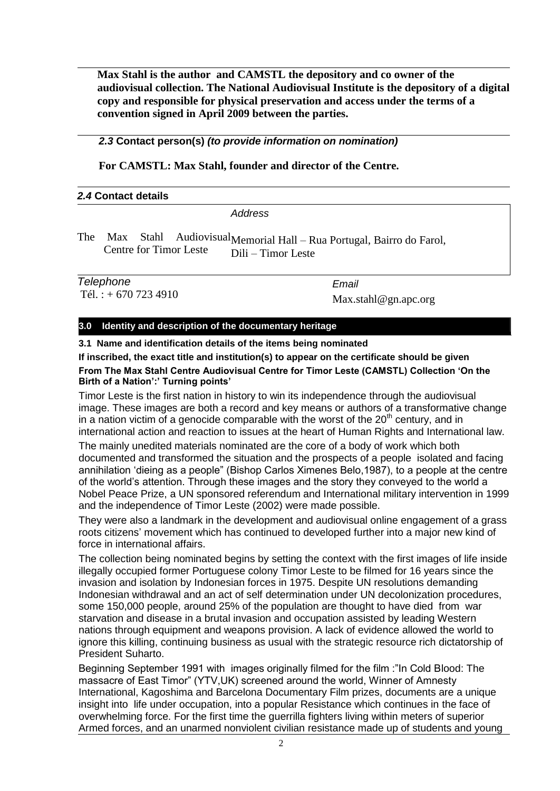**Max Stahl is the author and CAMSTL the depository and co owner of the audiovisual collection. The National Audiovisual Institute is the depository of a digital copy and responsible for physical preservation and access under the terms of a convention signed in April 2009 between the parties.** 

*2.3* **Contact person(s)** *(to provide information on nomination)*

**For CAMSTL: Max Stahl, founder and director of the Centre.**

| 2.4 Contact details |         |  |
|---------------------|---------|--|
|                     | Address |  |

The Max Stahl Centre for Timor Leste Memorial Hall – Rua Portugal, Bairro do Farol, Dili – Timor Leste

*Telephone* Tél. :  $+ 6707234910$  *Email* Max.stahl@gn.apc.org

# **3.0 Identity and description of the documentary heritage**

**3.1 Name and identification details of the items being nominated**

**If inscribed, the exact title and institution(s) to appear on the certificate should be given From The Max Stahl Centre Audiovisual Centre for Timor Leste (CAMSTL) Collection 'On the Birth of a Nation':' Turning points'** 

Timor Leste is the first nation in history to win its independence through the audiovisual image. These images are both a record and key means or authors of a transformative change in a nation victim of a genocide comparable with the worst of the  $20<sup>th</sup>$  century, and in international action and reaction to issues at the heart of Human Rights and International law.

The mainly unedited materials nominated are the core of a body of work which both documented and transformed the situation and the prospects of a people isolated and facing annihilation 'dieing as a people" (Bishop Carlos Ximenes Belo,1987), to a people at the centre of the world's attention. Through these images and the story they conveyed to the world a Nobel Peace Prize, a UN sponsored referendum and International military intervention in 1999 and the independence of Timor Leste (2002) were made possible.

They were also a landmark in the development and audiovisual online engagement of a grass roots citizens' movement which has continued to developed further into a major new kind of force in international affairs.

The collection being nominated begins by setting the context with the first images of life inside illegally occupied former Portuguese colony Timor Leste to be filmed for 16 years since the invasion and isolation by Indonesian forces in 1975. Despite UN resolutions demanding Indonesian withdrawal and an act of self determination under UN decolonization procedures, some 150,000 people, around 25% of the population are thought to have died from war starvation and disease in a brutal invasion and occupation assisted by leading Western nations through equipment and weapons provision. A lack of evidence allowed the world to ignore this killing, continuing business as usual with the strategic resource rich dictatorship of President Suharto.

Beginning September 1991 with images originally filmed for the film :"In Cold Blood: The massacre of East Timor" (YTV,UK) screened around the world, Winner of Amnesty International, Kagoshima and Barcelona Documentary Film prizes, documents are a unique insight into life under occupation, into a popular Resistance which continues in the face of overwhelming force. For the first time the guerrilla fighters living within meters of superior Armed forces, and an unarmed nonviolent civilian resistance made up of students and young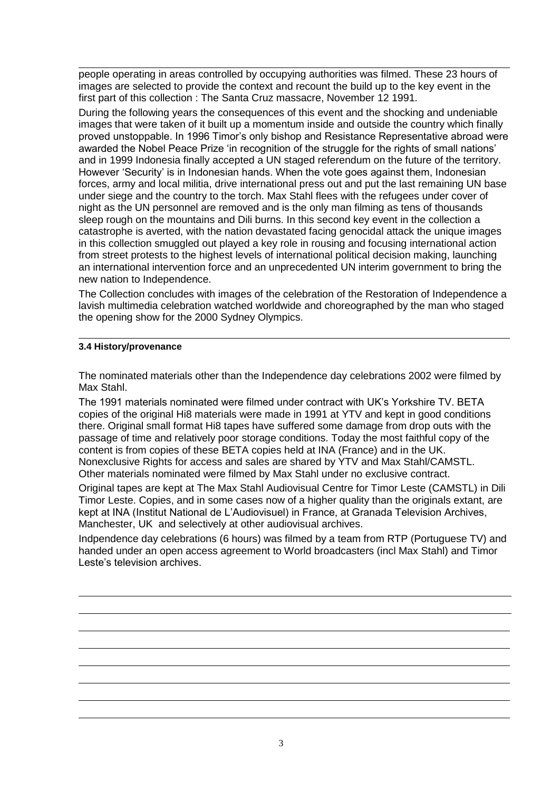people operating in areas controlled by occupying authorities was filmed. These 23 hours of images are selected to provide the context and recount the build up to the key event in the first part of this collection : The Santa Cruz massacre, November 12 1991.

During the following years the consequences of this event and the shocking and undeniable images that were taken of it built up a momentum inside and outside the country which finally proved unstoppable. In 1996 Timor's only bishop and Resistance Representative abroad were awarded the Nobel Peace Prize 'in recognition of the struggle for the rights of small nations' and in 1999 Indonesia finally accepted a UN staged referendum on the future of the territory. However 'Security' is in Indonesian hands. When the vote goes against them, Indonesian forces, army and local militia, drive international press out and put the last remaining UN base under siege and the country to the torch. Max Stahl flees with the refugees under cover of night as the UN personnel are removed and is the only man filming as tens of thousands sleep rough on the mountains and Dili burns. In this second key event in the collection a catastrophe is averted, with the nation devastated facing genocidal attack the unique images in this collection smuggled out played a key role in rousing and focusing international action from street protests to the highest levels of international political decision making, launching an international intervention force and an unprecedented UN interim government to bring the new nation to Independence.

The Collection concludes with images of the celebration of the Restoration of Independence a lavish multimedia celebration watched worldwide and choreographed by the man who staged the opening show for the 2000 Sydney Olympics.

## **3.4 History/provenance**

The nominated materials other than the Independence day celebrations 2002 were filmed by Max Stahl.

The 1991 materials nominated were filmed under contract with UK's Yorkshire TV. BETA copies of the original Hi8 materials were made in 1991 at YTV and kept in good conditions there. Original small format Hi8 tapes have suffered some damage from drop outs with the passage of time and relatively poor storage conditions. Today the most faithful copy of the content is from copies of these BETA copies held at INA (France) and in the UK. Nonexclusive Rights for access and sales are shared by YTV and Max Stahl/CAMSTL. Other materials nominated were filmed by Max Stahl under no exclusive contract.

Original tapes are kept at The Max Stahl Audiovisual Centre for Timor Leste (CAMSTL) in Dili Timor Leste. Copies, and in some cases now of a higher quality than the originals extant, are kept at INA (Institut National de L'Audiovisuel) in France, at Granada Television Archives, Manchester, UK and selectively at other audiovisual archives.

Indpendence day celebrations (6 hours) was filmed by a team from RTP (Portuguese TV) and handed under an open access agreement to World broadcasters (incl Max Stahl) and Timor Leste's television archives.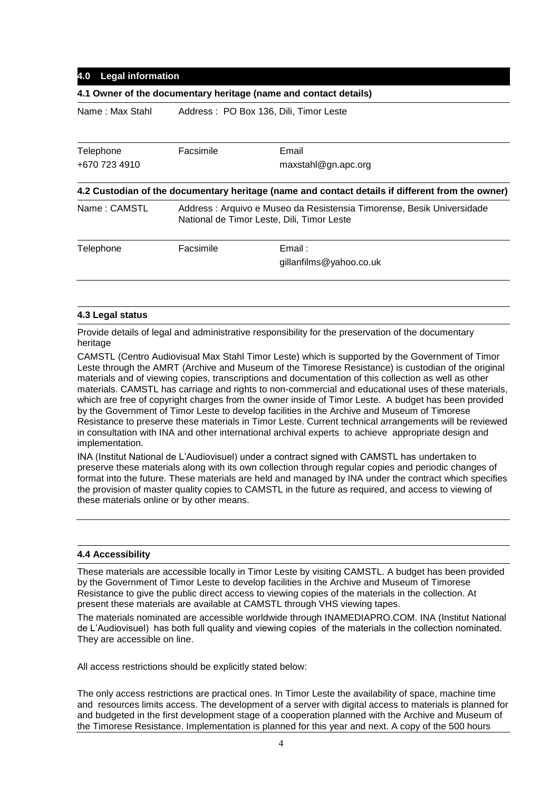## **4.0 Legal information**

#### **4.1 Owner of the documentary heritage (name and contact details)**

Name : Max Stahl Address : PO Box 136, Dili, Timor Leste **Telephone** Facsimile Email

+670 723 4910 maxstahl@gn.apc.org **4.2 Custodian of the documentary heritage (name and contact details if different from the owner)** Name : CAMSTL Address : Arquivo e Museo da Resistensia Timorense, Besik Universidade National de Timor Leste, Dili, Timor Leste Telephone **Facsimile Email :** gillanfilms@yahoo.co.uk

#### **4.3 Legal status**

Provide details of legal and administrative responsibility for the preservation of the documentary heritage

CAMSTL (Centro Audiovisual Max Stahl Timor Leste) which is supported by the Government of Timor Leste through the AMRT (Archive and Museum of the Timorese Resistance) is custodian of the original materials and of viewing copies, transcriptions and documentation of this collection as well as other materials. CAMSTL has carriage and rights to non-commercial and educational uses of these materials, which are free of copyright charges from the owner inside of Timor Leste. A budget has been provided by the Government of Timor Leste to develop facilities in the Archive and Museum of Timorese Resistance to preserve these materials in Timor Leste. Current technical arrangements will be reviewed in consultation with INA and other international archival experts to achieve appropriate design and implementation.

INA (Institut National de L'Audiovisuel) under a contract signed with CAMSTL has undertaken to preserve these materials along with its own collection through regular copies and periodic changes of format into the future. These materials are held and managed by INA under the contract which specifies the provision of master quality copies to CAMSTL in the future as required, and access to viewing of these materials online or by other means.

#### **4.4 Accessibility**

These materials are accessible locally in Timor Leste by visiting CAMSTL. A budget has been provided by the Government of Timor Leste to develop facilities in the Archive and Museum of Timorese Resistance to give the public direct access to viewing copies of the materials in the collection. At present these materials are available at CAMSTL through VHS viewing tapes.

The materials nominated are accessible worldwide through INAMEDIAPRO.COM. INA (Institut National de L'Audiovisuel) has both full quality and viewing copies of the materials in the collection nominated. They are accessible on line.

All access restrictions should be explicitly stated below:

The only access restrictions are practical ones. In Timor Leste the availability of space, machine time and resources limits access. The development of a server with digital access to materials is planned for and budgeted in the first development stage of a cooperation planned with the Archive and Museum of the Timorese Resistance. Implementation is planned for this year and next. A copy of the 500 hours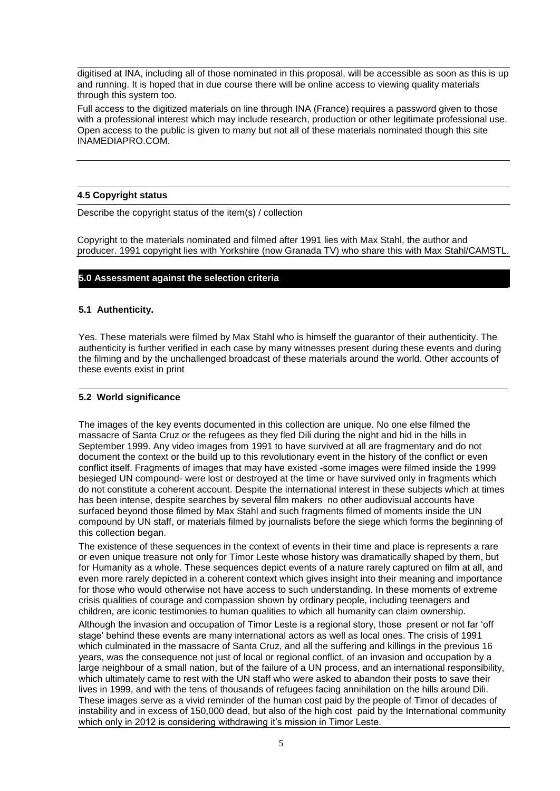digitised at INA, including all of those nominated in this proposal, will be accessible as soon as this is up and running. It is hoped that in due course there will be online access to viewing quality materials through this system too.

Full access to the digitized materials on line through INA (France) requires a password given to those with a professional interest which may include research, production or other legitimate professional use. Open access to the public is given to many but not all of these materials nominated though this site INAMEDIAPRO.COM.

## **4.5 Copyright status**

Describe the copyright status of the item(s) / collection

Copyright to the materials nominated and filmed after 1991 lies with Max Stahl, the author and producer. 1991 copyright lies with Yorkshire (now Granada TV) who share this with Max Stahl/CAMSTL.

## **5.0 Assessment against the selection criteria**

## **5.1 Authenticity.**

Yes. These materials were filmed by Max Stahl who is himself the guarantor of their authenticity. The authenticity is further verified in each case by many witnesses present during these events and during the filming and by the unchallenged broadcast of these materials around the world. Other accounts of these events exist in print

## **5.2 World significance**

The images of the key events documented in this collection are unique. No one else filmed the massacre of Santa Cruz or the refugees as they fled Dili during the night and hid in the hills in September 1999. Any video images from 1991 to have survived at all are fragmentary and do not document the context or the build up to this revolutionary event in the history of the conflict or even conflict itself. Fragments of images that may have existed -some images were filmed inside the 1999 besieged UN compound- were lost or destroyed at the time or have survived only in fragments which do not constitute a coherent account. Despite the international interest in these subjects which at times has been intense, despite searches by several film makers no other audiovisual accounts have surfaced beyond those filmed by Max Stahl and such fragments filmed of moments inside the UN compound by UN staff, or materials filmed by journalists before the siege which forms the beginning of this collection began.

The existence of these sequences in the context of events in their time and place is represents a rare or even unique treasure not only for Timor Leste whose history was dramatically shaped by them, but for Humanity as a whole. These sequences depict events of a nature rarely captured on film at all, and even more rarely depicted in a coherent context which gives insight into their meaning and importance for those who would otherwise not have access to such understanding. In these moments of extreme crisis qualities of courage and compassion shown by ordinary people, including teenagers and children, are iconic testimonies to human qualities to which all humanity can claim ownership.

Although the invasion and occupation of Timor Leste is a regional story, those present or not far 'off stage' behind these events are many international actors as well as local ones. The crisis of 1991 which culminated in the massacre of Santa Cruz, and all the suffering and killings in the previous 16 years, was the consequence not just of local or regional conflict, of an invasion and occupation by a large neighbour of a small nation, but of the failure of a UN process, and an international responsibility, which ultimately came to rest with the UN staff who were asked to abandon their posts to save their lives in 1999, and with the tens of thousands of refugees facing annihilation on the hills around Dili. These images serve as a vivid reminder of the human cost paid by the people of Timor of decades of instability and in excess of 150,000 dead, but also of the high cost paid by the International community which only in 2012 is considering withdrawing it's mission in Timor Leste.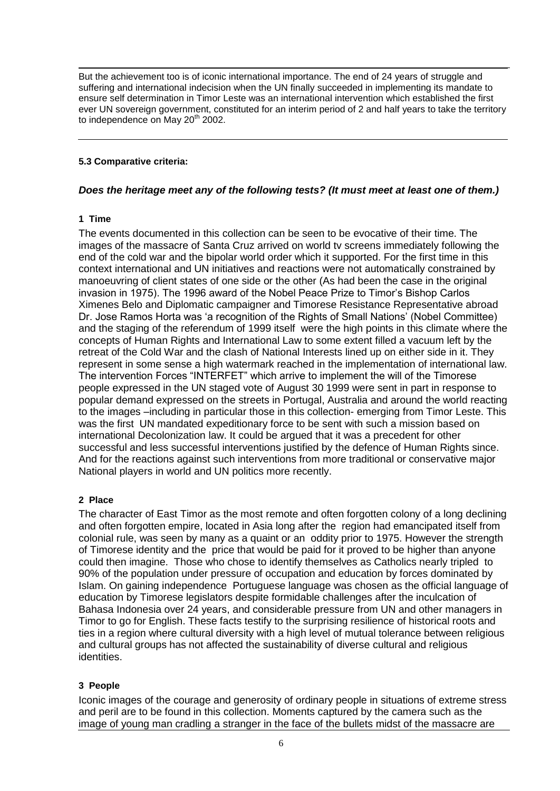But the achievement too is of iconic international importance. The end of 24 years of struggle and suffering and international indecision when the UN finally succeeded in implementing its mandate to ensure self determination in Timor Leste was an international intervention which established the first ever UN sovereign government, constituted for an interim period of 2 and half years to take the territory to independence on May 20<sup>th</sup> 2002.

# **5.3 Comparative criteria:**

# *Does the heritage meet any of the following tests? (It must meet at least one of them.)*

## **1 Time**

The events documented in this collection can be seen to be evocative of their time. The images of the massacre of Santa Cruz arrived on world tv screens immediately following the end of the cold war and the bipolar world order which it supported. For the first time in this context international and UN initiatives and reactions were not automatically constrained by manoeuvring of client states of one side or the other (As had been the case in the original invasion in 1975). The 1996 award of the Nobel Peace Prize to Timor's Bishop Carlos Ximenes Belo and Diplomatic campaigner and Timorese Resistance Representative abroad Dr. Jose Ramos Horta was 'a recognition of the Rights of Small Nations' (Nobel Committee) and the staging of the referendum of 1999 itself were the high points in this climate where the concepts of Human Rights and International Law to some extent filled a vacuum left by the retreat of the Cold War and the clash of National Interests lined up on either side in it. They represent in some sense a high watermark reached in the implementation of international law. The intervention Forces "INTERFET" which arrive to implement the will of the Timorese people expressed in the UN staged vote of August 30 1999 were sent in part in response to popular demand expressed on the streets in Portugal, Australia and around the world reacting to the images –including in particular those in this collection- emerging from Timor Leste. This was the first UN mandated expeditionary force to be sent with such a mission based on international Decolonization law. It could be argued that it was a precedent for other successful and less successful interventions justified by the defence of Human Rights since. And for the reactions against such interventions from more traditional or conservative major National players in world and UN politics more recently.

# **2 Place**

The character of East Timor as the most remote and often forgotten colony of a long declining and often forgotten empire, located in Asia long after the region had emancipated itself from colonial rule, was seen by many as a quaint or an oddity prior to 1975. However the strength of Timorese identity and the price that would be paid for it proved to be higher than anyone could then imagine. Those who chose to identify themselves as Catholics nearly tripled to 90% of the population under pressure of occupation and education by forces dominated by Islam. On gaining independence Portuguese language was chosen as the official language of education by Timorese legislators despite formidable challenges after the inculcation of Bahasa Indonesia over 24 years, and considerable pressure from UN and other managers in Timor to go for English. These facts testify to the surprising resilience of historical roots and ties in a region where cultural diversity with a high level of mutual tolerance between religious and cultural groups has not affected the sustainability of diverse cultural and religious identities.

# **3 People**

Iconic images of the courage and generosity of ordinary people in situations of extreme stress and peril are to be found in this collection. Moments captured by the camera such as the image of young man cradling a stranger in the face of the bullets midst of the massacre are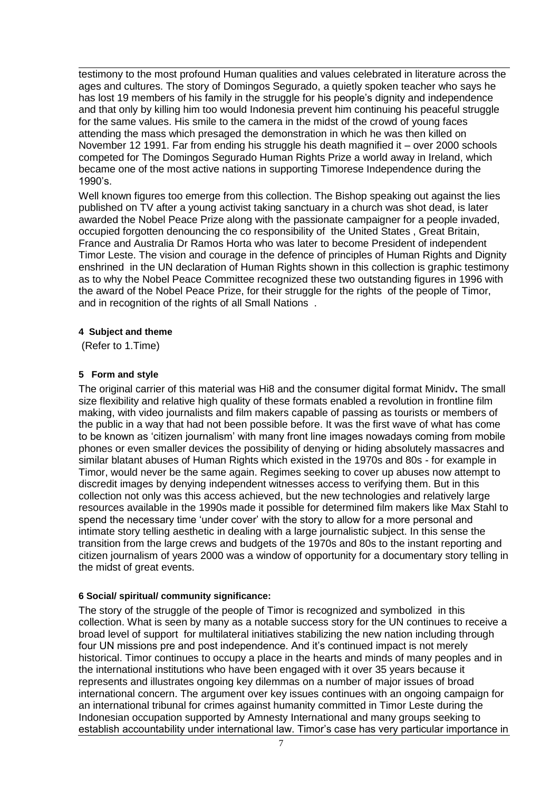testimony to the most profound Human qualities and values celebrated in literature across the ages and cultures. The story of Domingos Segurado, a quietly spoken teacher who says he has lost 19 members of his family in the struggle for his people's dignity and independence and that only by killing him too would Indonesia prevent him continuing his peaceful struggle for the same values. His smile to the camera in the midst of the crowd of young faces attending the mass which presaged the demonstration in which he was then killed on November 12 1991. Far from ending his struggle his death magnified it – over 2000 schools competed for The Domingos Segurado Human Rights Prize a world away in Ireland, which became one of the most active nations in supporting Timorese Independence during the 1990's.

Well known figures too emerge from this collection. The Bishop speaking out against the lies published on TV after a young activist taking sanctuary in a church was shot dead, is later awarded the Nobel Peace Prize along with the passionate campaigner for a people invaded, occupied forgotten denouncing the co responsibility of the United States , Great Britain, France and Australia Dr Ramos Horta who was later to become President of independent Timor Leste. The vision and courage in the defence of principles of Human Rights and Dignity enshrined in the UN declaration of Human Rights shown in this collection is graphic testimony as to why the Nobel Peace Committee recognized these two outstanding figures in 1996 with the award of the Nobel Peace Prize, for their struggle for the rights of the people of Timor, and in recognition of the rights of all Small Nations .

# **4 Subject and theme**

(Refer to 1.Time)

## **5 Form and style**

The original carrier of this material was Hi8 and the consumer digital format Minidv**.** The small size flexibility and relative high quality of these formats enabled a revolution in frontline film making, with video journalists and film makers capable of passing as tourists or members of the public in a way that had not been possible before. It was the first wave of what has come to be known as 'citizen journalism' with many front line images nowadays coming from mobile phones or even smaller devices the possibility of denying or hiding absolutely massacres and similar blatant abuses of Human Rights which existed in the 1970s and 80s - for example in Timor, would never be the same again. Regimes seeking to cover up abuses now attempt to discredit images by denying independent witnesses access to verifying them. But in this collection not only was this access achieved, but the new technologies and relatively large resources available in the 1990s made it possible for determined film makers like Max Stahl to spend the necessary time 'under cover' with the story to allow for a more personal and intimate story telling aesthetic in dealing with a large journalistic subject. In this sense the transition from the large crews and budgets of the 1970s and 80s to the instant reporting and citizen journalism of years 2000 was a window of opportunity for a documentary story telling in the midst of great events.

# **6 Social/ spiritual/ community significance:**

The story of the struggle of the people of Timor is recognized and symbolized in this collection. What is seen by many as a notable success story for the UN continues to receive a broad level of support for multilateral initiatives stabilizing the new nation including through four UN missions pre and post independence. And it's continued impact is not merely historical. Timor continues to occupy a place in the hearts and minds of many peoples and in the international institutions who have been engaged with it over 35 years because it represents and illustrates ongoing key dilemmas on a number of major issues of broad international concern. The argument over key issues continues with an ongoing campaign for an international tribunal for crimes against humanity committed in Timor Leste during the Indonesian occupation supported by Amnesty International and many groups seeking to establish accountability under international law. Timor's case has very particular importance in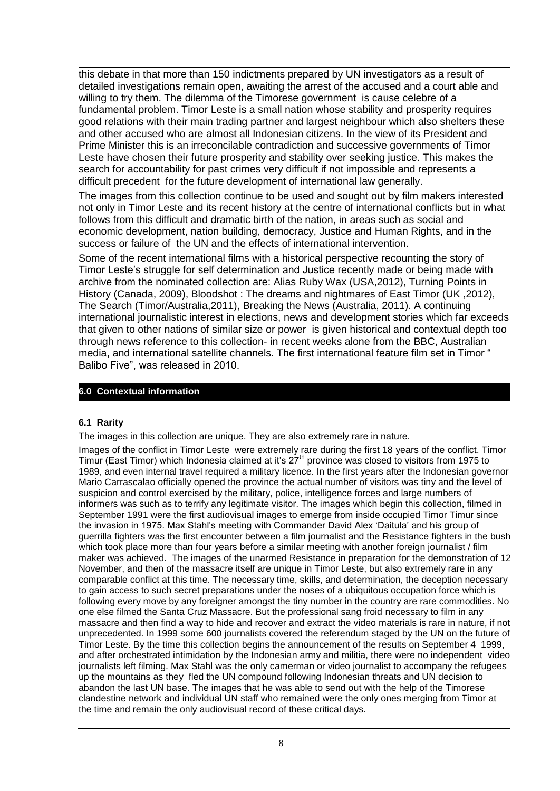this debate in that more than 150 indictments prepared by UN investigators as a result of detailed investigations remain open, awaiting the arrest of the accused and a court able and willing to try them. The dilemma of the Timorese government is cause celebre of a fundamental problem. Timor Leste is a small nation whose stability and prosperity requires good relations with their main trading partner and largest neighbour which also shelters these and other accused who are almost all Indonesian citizens. In the view of its President and Prime Minister this is an irreconcilable contradiction and successive governments of Timor Leste have chosen their future prosperity and stability over seeking justice. This makes the search for accountability for past crimes very difficult if not impossible and represents a difficult precedent for the future development of international law generally.

The images from this collection continue to be used and sought out by film makers interested not only in Timor Leste and its recent history at the centre of international conflicts but in what follows from this difficult and dramatic birth of the nation, in areas such as social and economic development, nation building, democracy, Justice and Human Rights, and in the success or failure of the UN and the effects of international intervention.

Some of the recent international films with a historical perspective recounting the story of Timor Leste's struggle for self determination and Justice recently made or being made with archive from the nominated collection are: Alias Ruby Wax (USA,2012), Turning Points in History (Canada, 2009), Bloodshot : The dreams and nightmares of East Timor (UK ,2012), The Search (Timor/Australia,2011), Breaking the News (Australia, 2011). A continuing international journalistic interest in elections, news and development stories which far exceeds that given to other nations of similar size or power is given historical and contextual depth too through news reference to this collection- in recent weeks alone from the BBC, Australian media, and international satellite channels. The first international feature film set in Timor " Balibo Five", was released in 2010.

# **6.0 Contextual information**

## **6.1 Rarity**

The images in this collection are unique. They are also extremely rare in nature.

Images of the conflict in Timor Leste were extremely rare during the first 18 years of the conflict. Timor Timur (East Timor) which Indonesia claimed at it's  $27<sup>th</sup>$  province was closed to visitors from 1975 to 1989, and even internal travel required a military licence. In the first years after the Indonesian governor Mario Carrascalao officially opened the province the actual number of visitors was tiny and the level of suspicion and control exercised by the military, police, intelligence forces and large numbers of informers was such as to terrify any legitimate visitor. The images which begin this collection, filmed in September 1991 were the first audiovisual images to emerge from inside occupied Timor Timur since the invasion in 1975. Max Stahl's meeting with Commander David Alex 'Daitula' and his group of guerrilla fighters was the first encounter between a film journalist and the Resistance fighters in the bush which took place more than four years before a similar meeting with another foreign journalist / film maker was achieved. The images of the unarmed Resistance in preparation for the demonstration of 12 November, and then of the massacre itself are unique in Timor Leste, but also extremely rare in any comparable conflict at this time. The necessary time, skills, and determination, the deception necessary to gain access to such secret preparations under the noses of a ubiquitous occupation force which is following every move by any foreigner amongst the tiny number in the country are rare commodities. No one else filmed the Santa Cruz Massacre. But the professional sang froid necessary to film in any massacre and then find a way to hide and recover and extract the video materials is rare in nature, if not unprecedented. In 1999 some 600 journalists covered the referendum staged by the UN on the future of Timor Leste. By the time this collection begins the announcement of the results on September 4 1999, and after orchestrated intimidation by the Indonesian army and militia, there were no independent video journalists left filming. Max Stahl was the only camerman or video journalist to accompany the refugees up the mountains as they fled the UN compound following Indonesian threats and UN decision to abandon the last UN base. The images that he was able to send out with the help of the Timorese clandestine network and individual UN staff who remained were the only ones merging from Timor at the time and remain the only audiovisual record of these critical days.